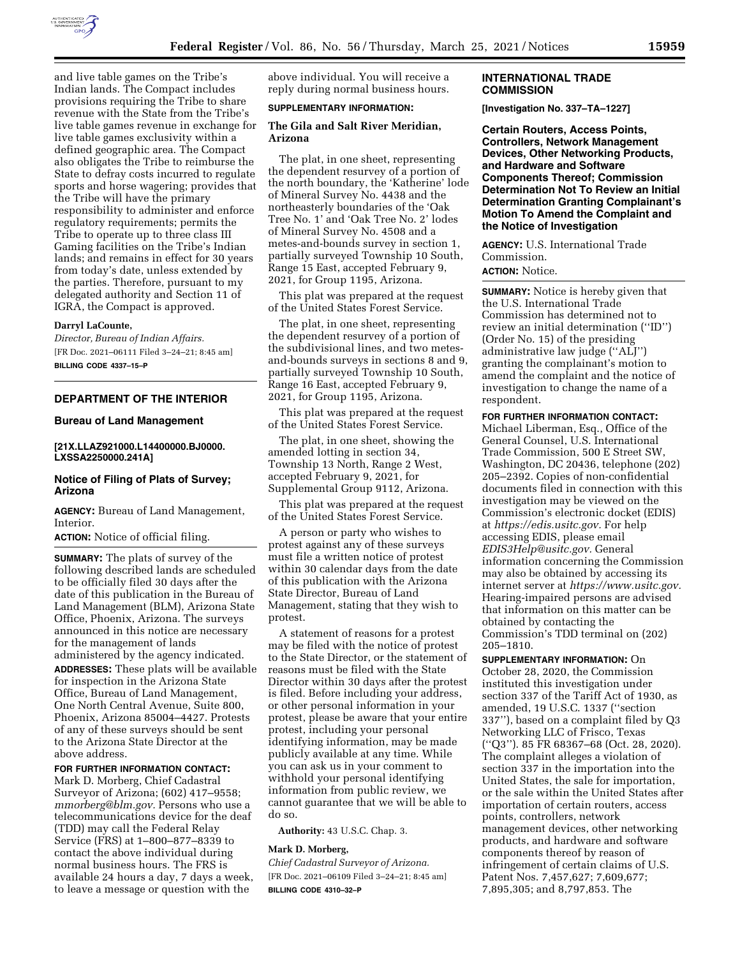

and live table games on the Tribe's Indian lands. The Compact includes provisions requiring the Tribe to share revenue with the State from the Tribe's live table games revenue in exchange for live table games exclusivity within a defined geographic area. The Compact also obligates the Tribe to reimburse the State to defray costs incurred to regulate sports and horse wagering; provides that the Tribe will have the primary responsibility to administer and enforce regulatory requirements; permits the Tribe to operate up to three class III Gaming facilities on the Tribe's Indian lands; and remains in effect for 30 years from today's date, unless extended by the parties. Therefore, pursuant to my delegated authority and Section 11 of IGRA, the Compact is approved.

### **Darryl LaCounte,**

*Director, Bureau of Indian Affairs.*  [FR Doc. 2021–06111 Filed 3–24–21; 8:45 am] **BILLING CODE 4337–15–P** 

# **DEPARTMENT OF THE INTERIOR**

### **Bureau of Land Management**

## **[21X.LLAZ921000.L14400000.BJ0000. LXSSA2250000.241A]**

## **Notice of Filing of Plats of Survey; Arizona**

**AGENCY:** Bureau of Land Management, Interior.

**ACTION:** Notice of official filing.

**SUMMARY:** The plats of survey of the following described lands are scheduled to be officially filed 30 days after the date of this publication in the Bureau of Land Management (BLM), Arizona State Office, Phoenix, Arizona. The surveys announced in this notice are necessary for the management of lands administered by the agency indicated. **ADDRESSES:** These plats will be available for inspection in the Arizona State Office, Bureau of Land Management, One North Central Avenue, Suite 800, Phoenix, Arizona 85004–4427. Protests of any of these surveys should be sent to the Arizona State Director at the above address.

### **FOR FURTHER INFORMATION CONTACT:**

Mark D. Morberg, Chief Cadastral Surveyor of Arizona; (602) 417–9558; *[mmorberg@blm.gov.](mailto:mmorberg@blm.gov)* Persons who use a telecommunications device for the deaf (TDD) may call the Federal Relay Service (FRS) at 1–800–877–8339 to contact the above individual during normal business hours. The FRS is available 24 hours a day, 7 days a week, to leave a message or question with the

above individual. You will receive a reply during normal business hours.

## **SUPPLEMENTARY INFORMATION:**

### **The Gila and Salt River Meridian, Arizona**

The plat, in one sheet, representing the dependent resurvey of a portion of the north boundary, the 'Katherine' lode of Mineral Survey No. 4438 and the northeasterly boundaries of the 'Oak Tree No. 1' and 'Oak Tree No. 2' lodes of Mineral Survey No. 4508 and a metes-and-bounds survey in section 1, partially surveyed Township 10 South, Range 15 East, accepted February 9, 2021, for Group 1195, Arizona.

This plat was prepared at the request of the United States Forest Service.

The plat, in one sheet, representing the dependent resurvey of a portion of the subdivisional lines, and two metesand-bounds surveys in sections 8 and 9, partially surveyed Township 10 South, Range 16 East, accepted February 9, 2021, for Group 1195, Arizona.

This plat was prepared at the request of the United States Forest Service.

The plat, in one sheet, showing the amended lotting in section 34, Township 13 North, Range 2 West, accepted February 9, 2021, for Supplemental Group 9112, Arizona.

This plat was prepared at the request of the United States Forest Service.

A person or party who wishes to protest against any of these surveys must file a written notice of protest within 30 calendar days from the date of this publication with the Arizona State Director, Bureau of Land Management, stating that they wish to protest.

A statement of reasons for a protest may be filed with the notice of protest to the State Director, or the statement of reasons must be filed with the State Director within 30 days after the protest is filed. Before including your address, or other personal information in your protest, please be aware that your entire protest, including your personal identifying information, may be made publicly available at any time. While you can ask us in your comment to withhold your personal identifying information from public review, we cannot guarantee that we will be able to do so.

**Authority:** 43 U.S.C. Chap. 3.

### **Mark D. Morberg,**

*Chief Cadastral Surveyor of Arizona.*  [FR Doc. 2021–06109 Filed 3–24–21; 8:45 am] **BILLING CODE 4310–32–P** 

## **INTERNATIONAL TRADE COMMISSION**

**[Investigation No. 337–TA–1227]** 

**Certain Routers, Access Points, Controllers, Network Management Devices, Other Networking Products, and Hardware and Software Components Thereof; Commission Determination Not To Review an Initial Determination Granting Complainant's Motion To Amend the Complaint and the Notice of Investigation** 

**AGENCY:** U.S. International Trade Commission. **ACTION:** Notice.

**SUMMARY:** Notice is hereby given that the U.S. International Trade Commission has determined not to review an initial determination (''ID'') (Order No. 15) of the presiding administrative law judge (''ALJ'') granting the complainant's motion to amend the complaint and the notice of investigation to change the name of a respondent.

**FOR FURTHER INFORMATION CONTACT:**  Michael Liberman, Esq., Office of the General Counsel, U.S. International Trade Commission, 500 E Street SW, Washington, DC 20436, telephone (202) 205–2392. Copies of non-confidential documents filed in connection with this investigation may be viewed on the Commission's electronic docket (EDIS) at *[https://edis.usitc.gov.](https://edis.usitc.gov)* For help accessing EDIS, please email *[EDIS3Help@usitc.gov.](mailto:EDIS3Help@usitc.gov)* General information concerning the Commission may also be obtained by accessing its internet server at *[https://www.usitc.gov.](https://www.usitc.gov)*  Hearing-impaired persons are advised that information on this matter can be obtained by contacting the Commission's TDD terminal on (202) 205–1810.

**SUPPLEMENTARY INFORMATION:** On October 28, 2020, the Commission instituted this investigation under section 337 of the Tariff Act of 1930, as amended, 19 U.S.C. 1337 (''section 337''), based on a complaint filed by Q3 Networking LLC of Frisco, Texas (''Q3''). 85 FR 68367–68 (Oct. 28, 2020). The complaint alleges a violation of section 337 in the importation into the United States, the sale for importation, or the sale within the United States after importation of certain routers, access points, controllers, network management devices, other networking products, and hardware and software components thereof by reason of infringement of certain claims of U.S. Patent Nos. 7,457,627; 7,609,677; 7,895,305; and 8,797,853. The